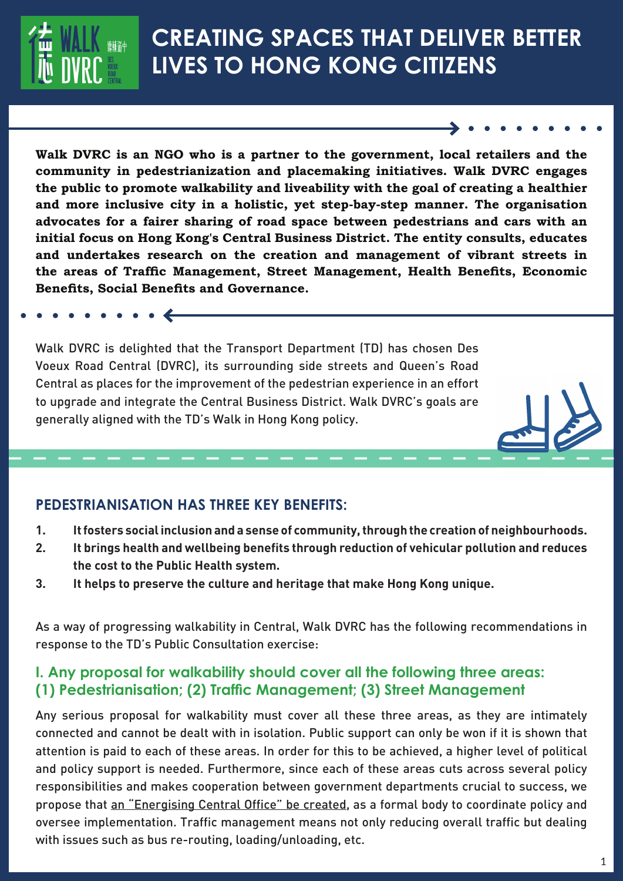

# **CREATING SPACES THAT DELIVER BETTER LIVES TO HONG KONG CITIZENS**

**Walk DVRC is an NGO who is a partner to the government, local retailers and the community in pedestrianization and placemaking initiatives. Walk DVRC engages the public to promote walkability and liveability with the goal of creating a healthier and more inclusive city in a holistic, yet step-bay-step manner. The organisation advocates for a fairer sharing of road space between pedestrians and cars with an initial focus on Hong Kong's Central Business District. The entity consults, educates and undertakes research on the creation and management of vibrant streets in**  the areas of Traffic Management, Street Management, Health Benefits, Economic **Benefits, Social Benefits and Governance.** 

Walk DVRC is delighted that the Transport Department (TD) has chosen Des Voeux Road Central (DVRC), its surrounding side streets and Queen's Road Central as places for the improvement of the pedestrian experience in an effort to upgrade and integrate the Central Business District. Walk DVRC's goals are generally aligned with the TD's Walk in Hong Kong policy.

# **PEDESTRIANISATION HAS THREE KEY BENEFITS:**

 $\bullet$   $\leftarrow$ 

- **1. It fosters social inclusion and a sense of community, through the creation of neighbourhoods.**
- **2. It brings health and wellbeing benefits through reduction of vehicular pollution and reduces the cost to the Public Health system.**
- **3. It helps to preserve the culture and heritage that make Hong Kong unique.**

As a way of progressing walkability in Central, Walk DVRC has the following recommendations in response to the TD's Public Consultation exercise:

# **I. Any proposal for walkability should cover all the following three areas: (1) Pedestrianisation; (2) Traffic Management; (3) Street Management**

Any serious proposal for walkability must cover all these three areas, as they are intimately connected and cannot be dealt with in isolation. Public support can only be won if it is shown that attention is paid to each of these areas. In order for this to be achieved, a higher level of political and policy support is needed. Furthermore, since each of these areas cuts across several policy responsibilities and makes cooperation between government departments crucial to success, we propose that an "Energising Central Office" be created, as a formal body to coordinate policy and oversee implementation. Traffic management means not only reducing overall traffic but dealing with issues such as bus re-routing, loading/unloading, etc.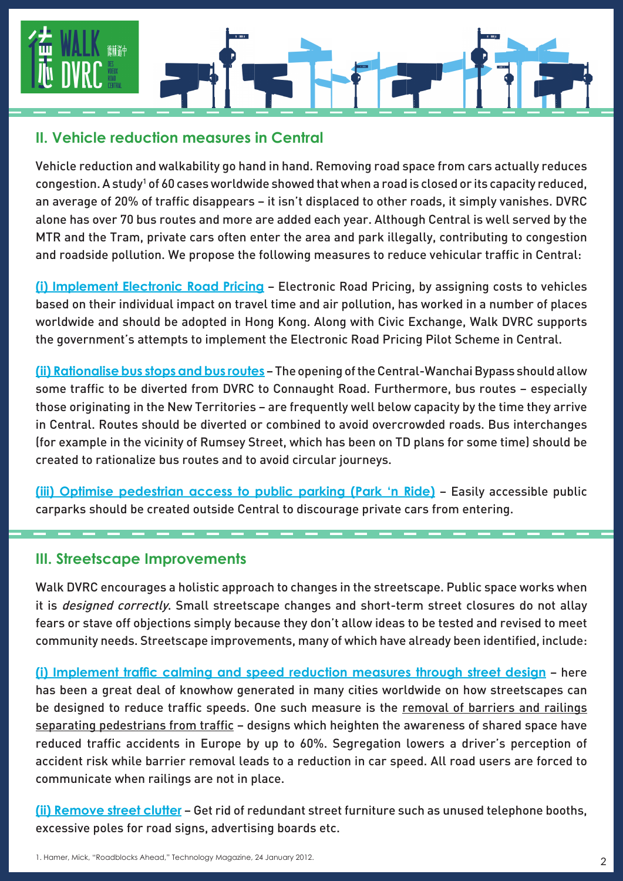

#### **II. Vehicle reduction measures in Central**

Vehicle reduction and walkability go hand in hand. Removing road space from cars actually reduces congestion. A study<sup>1</sup> of 60 cases worldwide showed that when a road is closed or its capacity reduced, an average of 20% of traffic disappears – it isn't displaced to other roads, it simply vanishes. DVRC alone has over 70 bus routes and more are added each year. Although Central is well served by the MTR and the Tram, private cars often enter the area and park illegally, contributing to congestion and roadside pollution. We propose the following measures to reduce vehicular traffic in Central:

**(i) Implement Electronic Road Pricing** – Electronic Road Pricing, by assigning costs to vehicles based on their individual impact on travel time and air pollution, has worked in a number of places worldwide and should be adopted in Hong Kong. Along with Civic Exchange, Walk DVRC supports the government's attempts to implement the Electronic Road Pricing Pilot Scheme in Central.

**(ii) Rationalise bus stops and bus routes** – The opening of the Central-Wanchai Bypass should allow some traffic to be diverted from DVRC to Connaught Road. Furthermore, bus routes – especially those originating in the New Territories – are frequently well below capacity by the time they arrive in Central. Routes should be diverted or combined to avoid overcrowded roads. Bus interchanges (for example in the vicinity of Rumsey Street, which has been on TD plans for some time) should be created to rationalize bus routes and to avoid circular journeys.

**(iii) Optimise pedestrian access to public parking (Park 'n Ride)** – Easily accessible public carparks should be created outside Central to discourage private cars from entering.

#### **III. Streetscape Improvements**

Walk DVRC encourages a holistic approach to changes in the streetscape. Public space works when it is *designed correctly*. Small streetscape changes and short-term street closures do not allay fears or stave off objections simply because they don't allow ideas to be tested and revised to meet community needs. Streetscape improvements, many of which have already been identified, include:

(i) Implement traffic calming and speed reduction measures through street design - here has been a great deal of knowhow generated in many cities worldwide on how streetscapes can be designed to reduce traffic speeds. One such measure is the removal of barriers and railings separating pedestrians from traffic - designs which heighten the awareness of shared space have reduced traffic accidents in Europe by up to 60%. Segregation lowers a driver's perception of accident risk while barrier removal leads to a reduction in car speed. All road users are forced to communicate when railings are not in place.

**(ii) Remove street clutter** – Get rid of redundant street furniture such as unused telephone booths, excessive poles for road signs, advertising boards etc.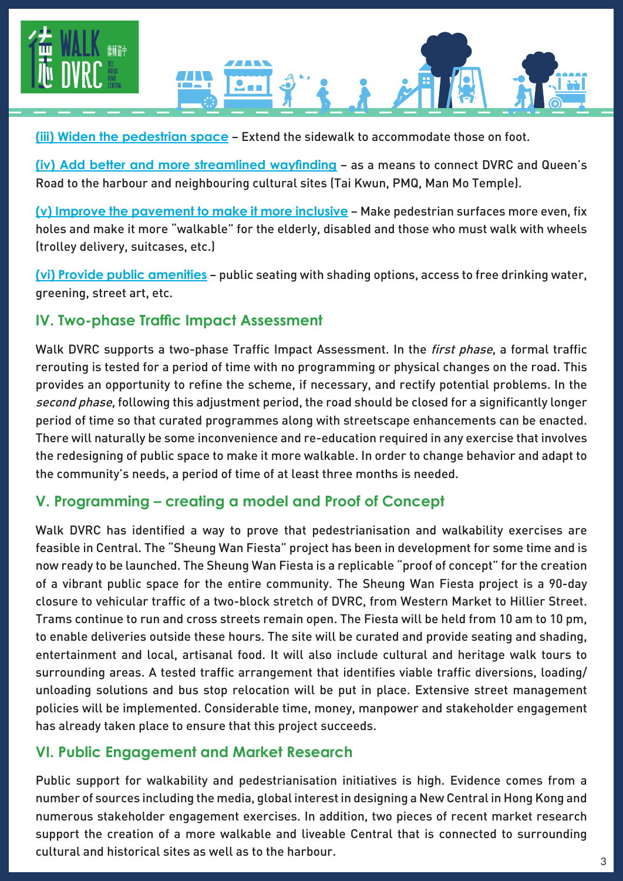



**(iii) Widen the pedestrian space** – Extend the sidewalk to accommodate those on foot.

**(iv) Add better and more streamlined wayfinding** - as a means to connect DVRC and Queen's Road to the harbour and neighbouring cultural sites (Tai Kwun, PMQ, Man Mo Temple).

**(v) Improve the pavement to make it more inclusive** – Make pedestrian surfaces more even, fix holes and make it more "walkable" for the elderly, disabled and those who must walk with wheels (trolley delivery, suitcases, etc.)

**(vi) Provide public amenities** – public seating with shading options, access to free drinking water, greening, street art, etc.

# **IV. Two-phase Traffic Impact Assessment**

Walk DVRC supports a two-phase Traffic Impact Assessment. In the *first phase*, a formal traffic rerouting is tested for a period of time with no programming or physical changes on the road. This provides an opportunity to refine the scheme, if necessary, and rectify potential problems. In the second phase, following this adjustment period, the road should be closed for a significantly longer period of time so that curated programmes along with streetscape enhancements can be enacted. There will naturally be some inconvenience and re-education required in any exercise that involves the redesigning of public space to make it more walkable. In order to change behavior and adapt to the community's needs, a period of time of at least three months is needed.

# **V. Programming – creating a model and Proof of Concept**

Walk DVRC has identified a way to prove that pedestrianisation and walkability exercises are feasible in Central. The "Sheung Wan Fiesta" project has been in development for some time and is now ready to be launched. The Sheung Wan Fiesta is a replicable "proof of concept" for the creation of a vibrant public space for the entire community. The Sheung Wan Fiesta project is a 90-day closure to vehicular traffic of a two-block stretch of DVRC, from Western Market to Hillier Street. Trams continue to run and cross streets remain open. The Fiesta will be held from 10 am to 10 pm, to enable deliveries outside these hours. The site will be curated and provide seating and shading, entertainment and local, artisanal food. It will also include cultural and heritage walk tours to surrounding areas. A tested traffic arrangement that identifies viable traffic diversions, loading/ unloading solutions and bus stop relocation will be put in place. Extensive street management policies will be implemented. Considerable time, money, manpower and stakeholder engagement has already taken place to ensure that this project succeeds.

# **VI. Public Engagement and Market Research**

Public support for walkability and pedestrianisation initiatives is high. Evidence comes from a number of sources including the media, global interest in designing a New Central in Hong Kong and numerous stakeholder engagement exercises. In addition, two pieces of recent market research support the creation of a more walkable and liveable Central that is connected to surrounding cultural and historical sites as well as to the harbour.